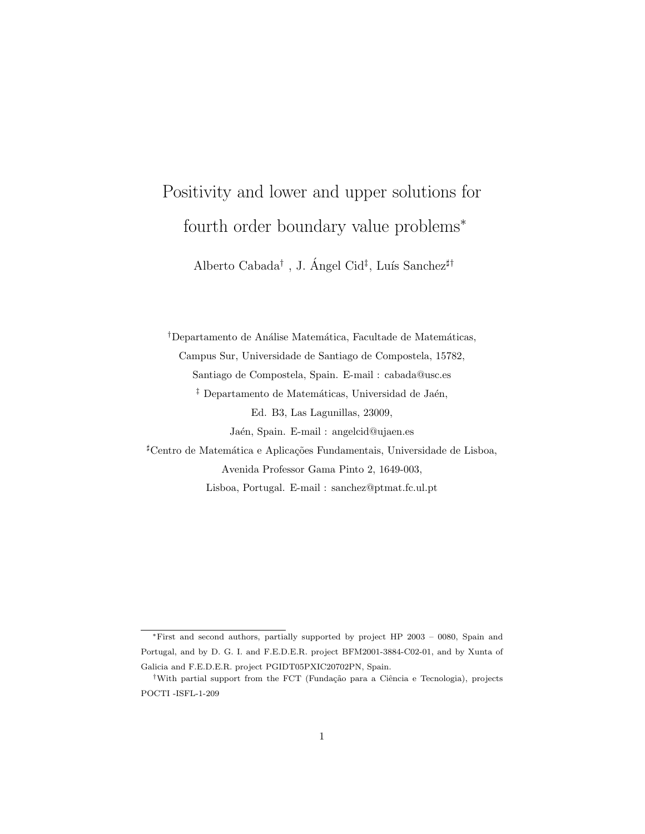# Positivity and lower and upper solutions for fourth order boundary value problems<sup>∗</sup>

Alberto Cabada<sup>†</sup>, J. Ángel Cid<sup>‡</sup>, Luís Sanchez<sup>#†</sup>

<sup>†</sup>Departamento de Análise Matemática, Facultade de Matemáticas, Campus Sur, Universidade de Santiago de Compostela, 15782, Santiago de Compostela, Spain. E-mail : cabada@usc.es <sup>‡</sup> Departamento de Matemáticas, Universidad de Jaén, Ed. B3, Las Lagunillas, 23009, Jaén, Spain. E-mail : angelcid@ujaen.es <sup>#</sup>Centro de Matemática e Aplicações Fundamentais, Universidade de Lisboa, Avenida Professor Gama Pinto 2, 1649-003, Lisboa, Portugal. E-mail : sanchez@ptmat.fc.ul.pt

<sup>∗</sup>First and second authors, partially supported by project HP 2003 – 0080, Spain and Portugal, and by D. G. I. and F.E.D.E.R. project BFM2001-3884-C02-01, and by Xunta of Galicia and F.E.D.E.R. project PGIDT05PXIC20702PN, Spain.

<sup>&</sup>lt;sup>†</sup>With partial support from the FCT (Fundação para a Ciência e Tecnologia), projects POCTI -ISFL-1-209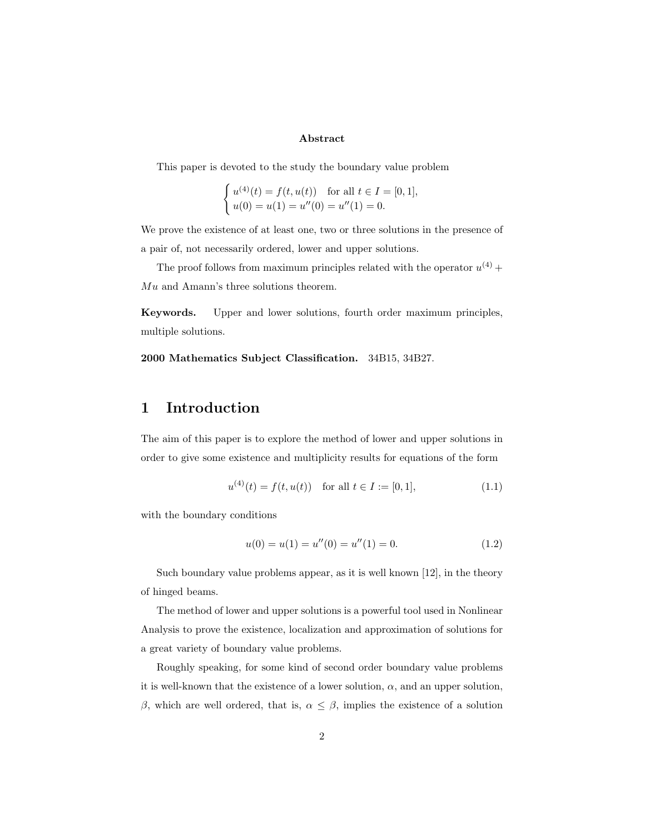#### Abstract

This paper is devoted to the study the boundary value problem

$$
\begin{cases} u^{(4)}(t) = f(t, u(t)) & \text{for all } t \in I = [0, 1], \\ u(0) = u(1) = u''(0) = u''(1) = 0. \end{cases}
$$

We prove the existence of at least one, two or three solutions in the presence of a pair of, not necessarily ordered, lower and upper solutions.

The proof follows from maximum principles related with the operator  $u^{(4)}$  + Mu and Amann's three solutions theorem.

Keywords. Upper and lower solutions, fourth order maximum principles, multiple solutions.

2000 Mathematics Subject Classification. 34B15, 34B27.

#### 1 Introduction

The aim of this paper is to explore the method of lower and upper solutions in order to give some existence and multiplicity results for equations of the form

$$
u^{(4)}(t) = f(t, u(t)) \quad \text{for all } t \in I := [0, 1], \tag{1.1}
$$

with the boundary conditions

$$
u(0) = u(1) = u''(0) = u''(1) = 0.
$$
\n(1.2)

Such boundary value problems appear, as it is well known [12], in the theory of hinged beams.

The method of lower and upper solutions is a powerful tool used in Nonlinear Analysis to prove the existence, localization and approximation of solutions for a great variety of boundary value problems.

Roughly speaking, for some kind of second order boundary value problems it is well-known that the existence of a lower solution,  $\alpha$ , and an upper solution, β, which are well ordered, that is,  $\alpha \leq \beta$ , implies the existence of a solution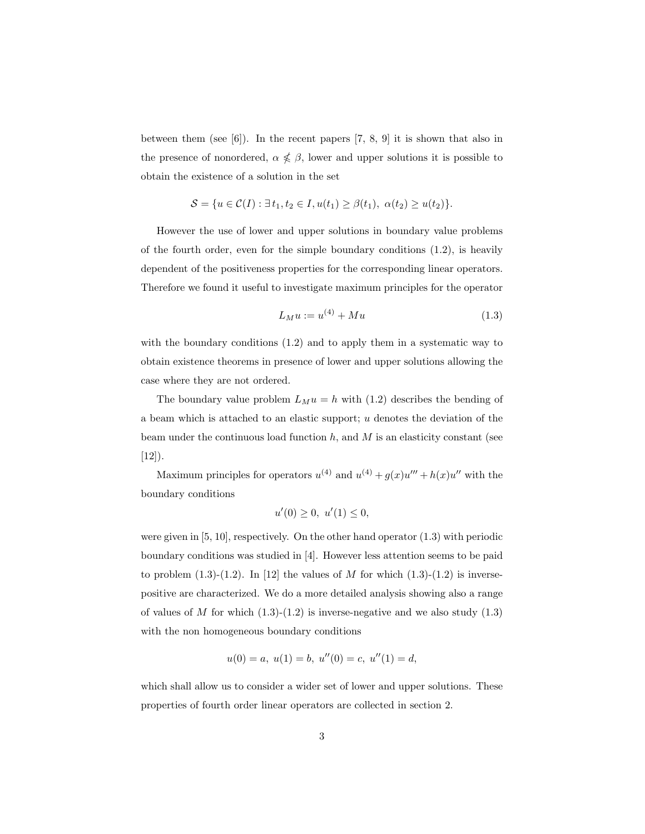between them (see [6]). In the recent papers [7, 8, 9] it is shown that also in the presence of nonordered,  $\alpha \nleq \beta$ , lower and upper solutions it is possible to obtain the existence of a solution in the set

$$
S = \{ u \in C(I) : \exists t_1, t_2 \in I, u(t_1) \ge \beta(t_1), \alpha(t_2) \ge u(t_2) \}.
$$

However the use of lower and upper solutions in boundary value problems of the fourth order, even for the simple boundary conditions  $(1.2)$ , is heavily dependent of the positiveness properties for the corresponding linear operators. Therefore we found it useful to investigate maximum principles for the operator

$$
L_M u := u^{(4)} + M u \tag{1.3}
$$

with the boundary conditions  $(1.2)$  and to apply them in a systematic way to obtain existence theorems in presence of lower and upper solutions allowing the case where they are not ordered.

The boundary value problem  $L_M u = h$  with (1.2) describes the bending of a beam which is attached to an elastic support; u denotes the deviation of the beam under the continuous load function  $h$ , and  $M$  is an elasticity constant (see  $[12]$ .

Maximum principles for operators  $u^{(4)}$  and  $u^{(4)} + g(x)u''' + h(x)u''$  with the boundary conditions

$$
u'(0) \ge 0, \ u'(1) \le 0,
$$

were given in [5, 10], respectively. On the other hand operator (1.3) with periodic boundary conditions was studied in [4]. However less attention seems to be paid to problem  $(1.3)-(1.2)$ . In [12] the values of M for which  $(1.3)-(1.2)$  is inversepositive are characterized. We do a more detailed analysis showing also a range of values of M for which  $(1.3)-(1.2)$  is inverse-negative and we also study  $(1.3)$ with the non homogeneous boundary conditions

$$
u(0) = a, u(1) = b, u''(0) = c, u''(1) = d,
$$

which shall allow us to consider a wider set of lower and upper solutions. These properties of fourth order linear operators are collected in section 2.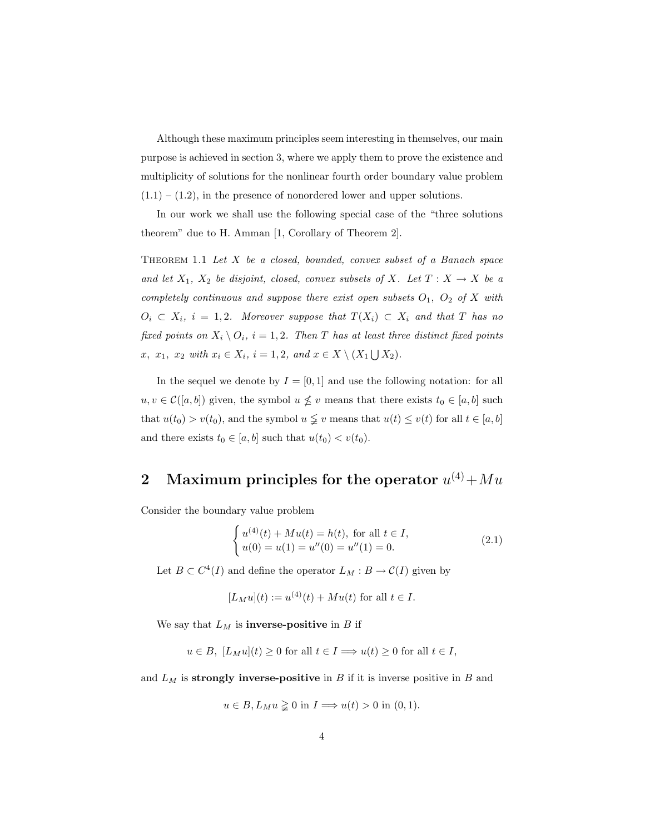Although these maximum principles seem interesting in themselves, our main purpose is achieved in section 3, where we apply them to prove the existence and multiplicity of solutions for the nonlinear fourth order boundary value problem  $(1.1) - (1.2)$ , in the presence of nonordered lower and upper solutions.

In our work we shall use the following special case of the "three solutions theorem" due to H. Amman [1, Corollary of Theorem 2].

THEOREM  $1.1$  Let  $X$  be a closed, bounded, convex subset of a Banach space and let  $X_1, X_2$  be disjoint, closed, convex subsets of X. Let  $T: X \to X$  be a completely continuous and suppose there exist open subsets  $O_1$ ,  $O_2$  of X with  $O_i \subset X_i$ ,  $i = 1, 2$ . Moreover suppose that  $T(X_i) \subset X_i$  and that T has no fixed points on  $X_i \setminus O_i$ ,  $i = 1, 2$ . Then T has at least three distinct fixed points x,  $x_1, x_2 \text{ with } x_i \in X_i, i = 1, 2, \text{ and } x \in X \setminus (X_1 \bigcup X_2).$ 

In the sequel we denote by  $I = [0, 1]$  and use the following notation: for all  $u, v \in \mathcal{C}([a, b])$  given, the symbol  $u \nleq v$  means that there exists  $t_0 \in [a, b]$  such that  $u(t_0) > v(t_0)$ , and the symbol  $u \leq v$  means that  $u(t) \leq v(t)$  for all  $t \in [a, b]$ and there exists  $t_0 \in [a, b]$  such that  $u(t_0) < v(t_0)$ .

### 2 Maximum principles for the operator  $u^{(4)} + Mu$

Consider the boundary value problem

$$
\begin{cases}\n u^{(4)}(t) + Mu(t) = h(t), \text{ for all } t \in I, \\
 u(0) = u(1) = u''(0) = u''(1) = 0.\n\end{cases}
$$
\n(2.1)

Let  $B \subset C^4(I)$  and define the operator  $L_M : B \to C(I)$  given by

$$
[L_M u](t) := u^{(4)}(t) + M u(t)
$$
 for all  $t \in I$ .

We say that  $L_M$  is **inverse-positive** in B if

$$
u \in B
$$
,  $[L_M u](t) \ge 0$  for all  $t \in I \implies u(t) \ge 0$  for all  $t \in I$ ,

and  $L_M$  is strongly inverse-positive in B if it is inverse positive in B and

$$
u \in B
$$
,  $L_M u \geq 0$  in  $I \Longrightarrow u(t) > 0$  in  $(0, 1)$ .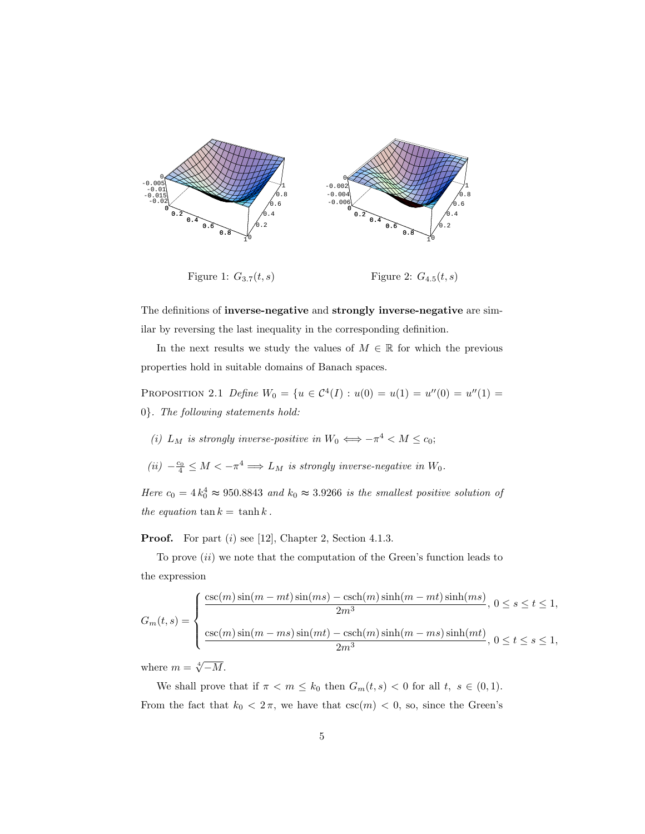

The definitions of inverse-negative and strongly inverse-negative are similar by reversing the last inequality in the corresponding definition.

In the next results we study the values of  $M \in \mathbb{R}$  for which the previous properties hold in suitable domains of Banach spaces.

PROPOSITION 2.1 Define  $W_0 = \{u \in C^4(I) : u(0) = u(1) = u''(0) = u''(1) = 0\}$ 0}. The following statements hold:

- (i)  $L_M$  is strongly inverse-positive in  $W_0 \iff -\pi^4 < M \leq c_0$ ;
- (ii)  $-\frac{c_0}{4}$  ≤  $M < -\pi^4$   $\Longrightarrow$  L<sub>M</sub> is strongly inverse-negative in W<sub>0</sub>.

Here  $c_0 = 4k_0^4 \approx 950.8843$  and  $k_0 \approx 3.9266$  is the smallest positive solution of the equation  $\tan k = \tanh k$ .

**Proof.** For part  $(i)$  see [12], Chapter 2, Section 4.1.3.

To prove (ii) we note that the computation of the Green's function leads to the expression

$$
G_m(t,s) = \begin{cases} \frac{\csc(m)\sin(m-mt)\sin(ms) - \csch(m)\sinh(m-mt)\sinh(ms)}{2m^3}, & 0 \le s \le t \le 1, \\ \frac{\csc(m)\sin(m-ms)\sin(mt) - \csch(m)\sinh(m-ms)\sinh(mt)}{2m^3}, & 0 \le t \le s \le 1, \end{cases}
$$

where  $m = \sqrt[4]{-M}$ .

We shall prove that if  $\pi < m \leq k_0$  then  $G_m(t, s) < 0$  for all  $t, s \in (0, 1)$ . From the fact that  $k_0 < 2\pi$ , we have that  $\csc(m) < 0$ , so, since the Green's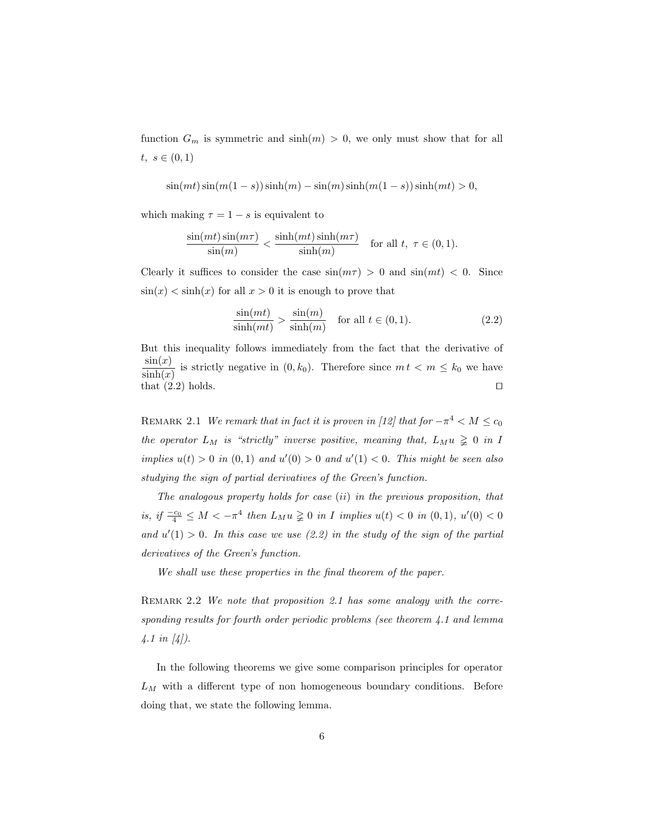function  $G_m$  is symmetric and  $sinh(m) > 0$ , we only must show that for all  $t, s \in (0,1)$ 

$$
\sin(mt)\sin(m(1-s))\sinh(m) - \sin(m)\sinh(m(1-s))\sinh(mt) > 0,
$$

which making  $\tau = 1 - s$  is equivalent to

$$
\frac{\sin(mt)\sin(m\tau)}{\sin(m)} < \frac{\sinh(mt)\sinh(m\tau)}{\sinh(m)} \quad \text{for all } t, \ \tau \in (0, 1).
$$

Clearly it suffices to consider the case  $\sin(m\tau) > 0$  and  $\sin(mt) < 0$ . Since  $\sin(x) < \sinh(x)$  for all  $x > 0$  it is enough to prove that

$$
\frac{\sin(mt)}{\sinh(mt)} > \frac{\sin(m)}{\sinh(m)} \quad \text{for all } t \in (0, 1). \tag{2.2}
$$

But this inequality follows immediately from the fact that the derivative of  $\sin(x)$  $\frac{\sin(x)}{\sinh(x)}$  is strictly negative in  $(0, k_0)$ . Therefore since  $m t < m \le k_0$  we have that  $(2.2)$  holds.

REMARK 2.1 We remark that in fact it is proven in [12] that for  $-\pi^4 < M \leq c_0$ the operator  $L_M$  is "strictly" inverse positive, meaning that,  $L_M u \geq 0$  in I implies  $u(t) > 0$  in  $(0, 1)$  and  $u'(0) > 0$  and  $u'(1) < 0$ . This might be seen also studying the sign of partial derivatives of the Green's function.

The analogous property holds for case (ii) in the previous proposition, that is, if  $\frac{-c_0}{4} \leq M < -\pi^4$  then  $L_M u \geq 0$  in I implies  $u(t) < 0$  in  $(0, 1)$ ,  $u'(0) < 0$ and  $u'(1) > 0$ . In this case we use (2.2) in the study of the sign of the partial derivatives of the Green's function.

We shall use these properties in the final theorem of the paper.

REMARK 2.2 We note that proposition 2.1 has some analogy with the corresponding results for fourth order periodic problems (see theorem 4.1 and lemma  $4.1 \text{ in } [4]$ .

In the following theorems we give some comparison principles for operator  $L_M$  with a different type of non homogeneous boundary conditions. Before doing that, we state the following lemma.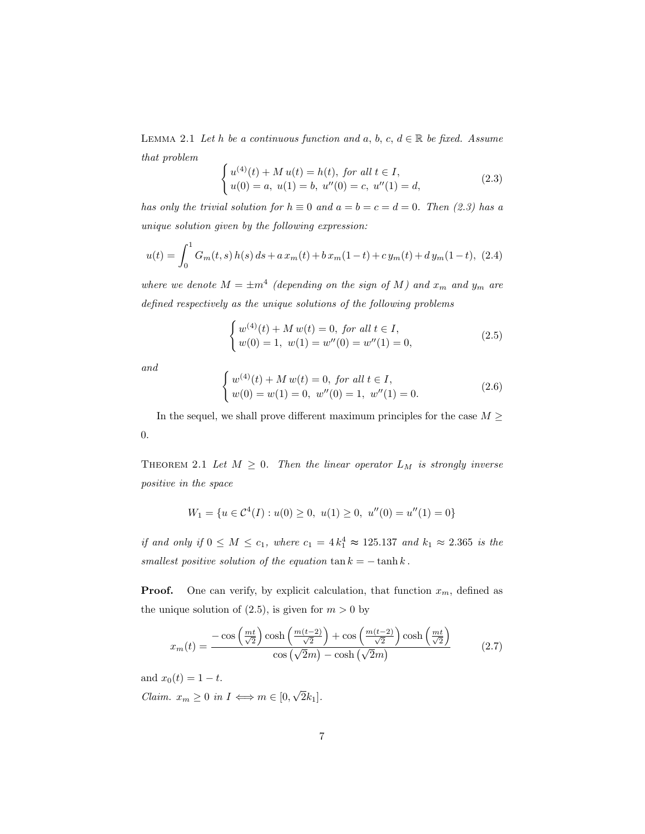LEMMA 2.1 Let h be a continuous function and a, b, c,  $d \in \mathbb{R}$  be fixed. Assume that problem  $\overline{\phantom{a}}$ 

$$
\begin{cases}\n u^{(4)}(t) + M u(t) = h(t), \text{ for all } t \in I, \\
 u(0) = a, \ u(1) = b, \ u''(0) = c, \ u''(1) = d,\n\end{cases}
$$
\n(2.3)

has only the trivial solution for  $h \equiv 0$  and  $a = b = c = d = 0$ . Then (2.3) has a unique solution given by the following expression:

$$
u(t) = \int_0^1 G_m(t,s) h(s) ds + a x_m(t) + b x_m(1-t) + c y_m(t) + d y_m(1-t),
$$
 (2.4)

where we denote  $M = \pm m^4$  (depending on the sign of M) and  $x_m$  and  $y_m$  are defined respectively as the unique solutions of the following problems

$$
\begin{cases} w^{(4)}(t) + M w(t) = 0, \text{ for all } t \in I, \\ w(0) = 1, \ w(1) = w''(0) = w''(1) = 0, \end{cases}
$$
 (2.5)

and

$$
\begin{cases} w^{(4)}(t) + M w(t) = 0, \text{ for all } t \in I, \\ w(0) = w(1) = 0, \ w''(0) = 1, \ w''(1) = 0. \end{cases}
$$
 (2.6)

In the sequel, we shall prove different maximum principles for the case  $M \geq$ 0.

THEOREM 2.1 Let  $M \geq 0$ . Then the linear operator  $L_M$  is strongly inverse positive in the space

$$
W_1 = \{ u \in C^4(I) : u(0) \ge 0, \ u(1) \ge 0, \ u''(0) = u''(1) = 0 \}
$$

if and only if  $0 \leq M \leq c_1$ , where  $c_1 = 4k_1^4 \approx 125.137$  and  $k_1 \approx 2.365$  is the smallest positive solution of the equation  $\tan k = -\tanh k$ .

**Proof.** One can verify, by explicit calculation, that function  $x_m$ , defined as the unique solution of  $(2.5)$ , is given for  $m > 0$  by

$$
x_m(t) = \frac{-\cos\left(\frac{mt}{\sqrt{2}}\right)\cosh\left(\frac{m(t-2)}{\sqrt{2}}\right) + \cos\left(\frac{m(t-2)}{\sqrt{2}}\right)\cosh\left(\frac{mt}{\sqrt{2}}\right)}{\cos\left(\sqrt{2}m\right) - \cosh\left(\sqrt{2}m\right)}\tag{2.7}
$$

and  $x_0(t) = 1 - t$ .

Claim.  $x_m \geq 0$  in  $I \iff m \in [0,$ √  $2k_1$ ].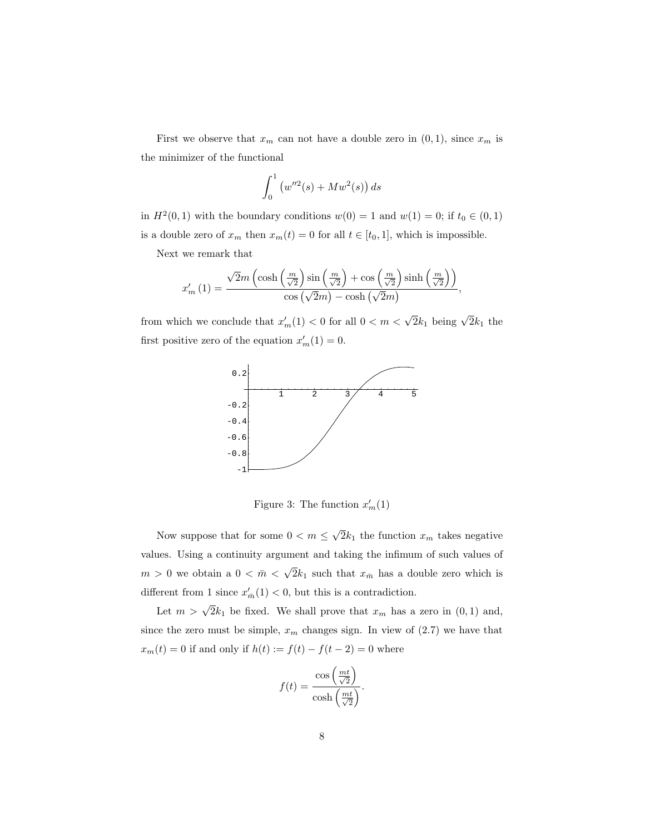First we observe that  $x_m$  can not have a double zero in  $(0, 1)$ , since  $x_m$  is the minimizer of the functional

$$
\int_0^1 \left( w''^2(s) + M w^2(s) \right) ds
$$

in  $H^2(0,1)$  with the boundary conditions  $w(0) = 1$  and  $w(1) = 0$ ; if  $t_0 \in (0,1)$ is a double zero of  $x_m$  then  $x_m(t) = 0$  for all  $t \in [t_0, 1]$ , which is impossible.

Next we remark that

$$
x'_{m}(1) = \frac{\sqrt{2m\left(\cosh\left(\frac{m}{\sqrt{2}}\right)\sin\left(\frac{m}{\sqrt{2}}\right) + \cos\left(\frac{m}{\sqrt{2}}\right)\sinh\left(\frac{m}{\sqrt{2}}\right)\right)}{\cos\left(\sqrt{2m}\right) - \cosh\left(\sqrt{2m}\right)},
$$

from which we conclude that  $x'_m(1) < 0$  for all  $0 < m < \sqrt{2k_1}$  being  $\sqrt{2k_1}$  the first positive zero of the equation  $x'_m(1) = 0$ .



Figure 3: The function  $x'_m(1)$ 

Now suppose that for some  $0 < m \leq$ √  $2k_1$  the function  $x_m$  takes negative values. Using a continuity argument and taking the infimum of such values of  $m\,>\,0$  we obtain a  $0\,<\,\bar{m}\,<\,$ √  $2k_1$  such that  $x_{\overline{n}}$  has a double zero which is different from 1 since  $x'_{\overline{n}}(1) < 0$ , but this is a contradiction.

Let  $m > \sqrt{2k_1}$  be fixed. We shall prove that  $x_m$  has a zero in  $(0, 1)$  and, since the zero must be simple,  $x_m$  changes sign. In view of  $(2.7)$  we have that  $x_m(t) = 0$  if and only if  $h(t) := f(t) - f(t-2) = 0$  where

$$
f(t) = \frac{\cos\left(\frac{mt}{\sqrt{2}}\right)}{\cosh\left(\frac{mt}{\sqrt{2}}\right)}.
$$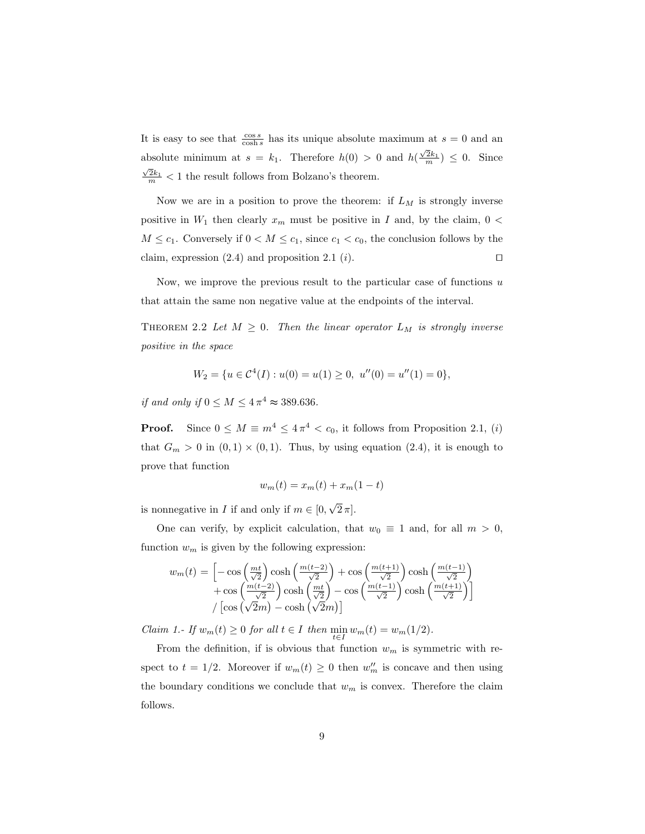It is easy to see that  $\frac{\cos s}{\cosh s}$  has its unique absolute maximum at  $s = 0$  and an absolute minimum at  $s = k_1$ . Therefore  $h(0) > 0$  and  $h(\frac{\sqrt{2}k_1}{m}) \leq 0$ . Since  $\frac{2k_1}{m}$  < 1 the result follows from Bolzano's theorem.

Now we are in a position to prove the theorem: if  $L_M$  is strongly inverse positive in  $W_1$  then clearly  $x_m$  must be positive in I and, by the claim,  $0 <$  $M \leq c_1$ . Conversely if  $0 \lt M \leq c_1$ , since  $c_1 \lt c_0$ , the conclusion follows by the claim, expression  $(2.4)$  and proposition  $2.1$   $(i)$ .

Now, we improve the previous result to the particular case of functions  $u$ that attain the same non negative value at the endpoints of the interval.

THEOREM 2.2 Let  $M \geq 0$ . Then the linear operator  $L_M$  is strongly inverse positive in the space

$$
W_2 = \{ u \in \mathcal{C}^4(I) : u(0) = u(1) \ge 0, \ u''(0) = u''(1) = 0 \},
$$

if and only if  $0 \leq M \leq 4 \pi^4 \approx 389.636$ .

**Proof.** Since  $0 \leq M \equiv m^4 \leq 4\pi^4 < c_0$ , it follows from Proposition 2.1, (i) that  $G_m > 0$  in  $(0,1) \times (0,1)$ . Thus, by using equation  $(2.4)$ , it is enough to prove that function

$$
w_m(t) = x_m(t) + x_m(1-t)
$$

is nonnegative in I if and only if  $m \in [0, 1]$ √  $2 \pi$ .

One can verify, by explicit calculation, that  $w_0 \equiv 1$  and, for all  $m > 0$ , function  $w_m$  is given by the following expression:

$$
w_m(t) = \left[ -\cos\left(\frac{mt}{\sqrt{2}}\right)\cosh\left(\frac{m(t-2)}{\sqrt{2}}\right) + \cos\left(\frac{m(t+1)}{\sqrt{2}}\right)\cosh\left(\frac{m(t-1)}{\sqrt{2}}\right) + \cos\left(\frac{m(t-2)}{\sqrt{2}}\right)\cosh\left(\frac{mt}{\sqrt{2}}\right) - \cos\left(\frac{m(t-1)}{\sqrt{2}}\right)\cosh\left(\frac{m(t+1)}{\sqrt{2}}\right) \right]
$$

$$
/ \left[\cos\left(\sqrt{2}m\right) - \cosh\left(\sqrt{2}m\right)\right]
$$

Claim 1.- If  $w_m(t) \geq 0$  for all  $t \in I$  then  $\min_{t \in I} w_m(t) = w_m(1/2)$ .

From the definition, if is obvious that function  $w_m$  is symmetric with respect to  $t = 1/2$ . Moreover if  $w_m(t) \geq 0$  then  $w''_m$  is concave and then using the boundary conditions we conclude that  $w_m$  is convex. Therefore the claim follows.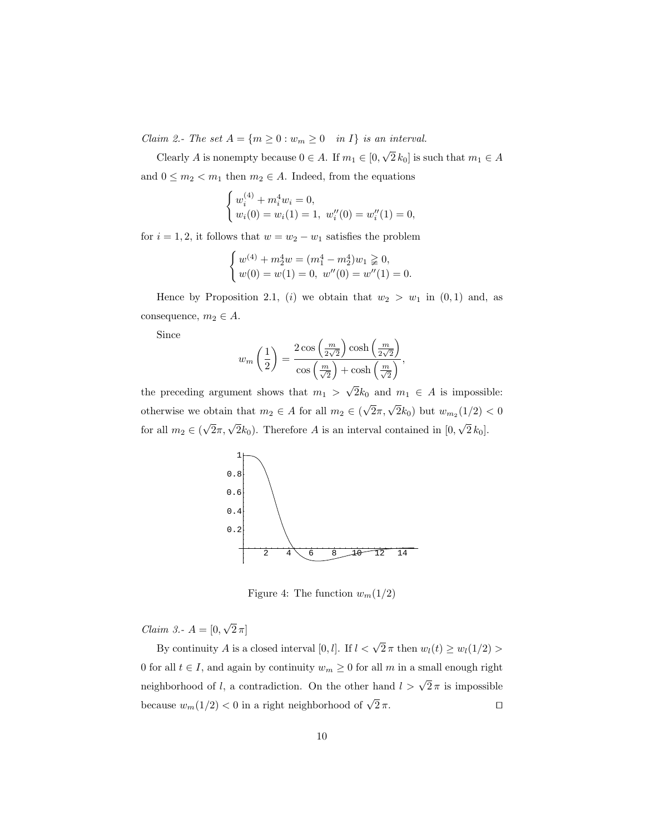Claim 2.- The set  $A = \{m \ge 0 : w_m \ge 0 \quad in \ I\}$  is an interval. √

Clearly A is nonempty because  $0 \in A$ . If  $m_1 \in [0, \infty)$  $[2 k_0]$  is such that  $m_1 \in A$ and  $0 \leq m_2 < m_1$  then  $m_2 \in A$ . Indeed, from the equations

$$
\begin{cases} w_i^{(4)} + m_i^4 w_i = 0, \\ w_i(0) = w_i(1) = 1, \ w_i''(0) = w_i''(1) = 0, \end{cases}
$$

for  $i = 1, 2$ , it follows that  $w = w_2 - w_1$  satisfies the problem

$$
\begin{cases} w^{(4)} + m_2^4 w = (m_1^4 - m_2^4)w_1 \geq 0, \\ w(0) = w(1) = 0, \ w''(0) = w''(1) = 0. \end{cases}
$$

Hence by Proposition 2.1, (i) we obtain that  $w_2 > w_1$  in  $(0, 1)$  and, as consequence,  $m_2 \in A$ .

Since

$$
w_m\left(\frac{1}{2}\right) = \frac{2\cos\left(\frac{m}{2\sqrt{2}}\right)\cosh\left(\frac{m}{2\sqrt{2}}\right)}{\cos\left(\frac{m}{\sqrt{2}}\right) + \cosh\left(\frac{m}{\sqrt{2}}\right)},
$$

the preceding argument shows that  $m_1$  $2k_0$  and  $m_1 \in A$  is impossible: otherwise we obtain that  $m_2 \in A$  for all  $m_2 \in ($  $\sqrt{2}\pi, \sqrt{2}k_0$ ) but  $w_{m_2}(1/2) < 0$ for all  $m_2 \in ($  $\sqrt{2}\pi, \sqrt{2}k_0$ ). Therefore A is an interval contained in [0, √  $2 k_0$ ].



Figure 4: The function  $w_m(1/2)$ 

*Claim 3.*-  $A = [0,$ √  $2\,\pi]$ 

By continuity A is a closed interval [0, *l*]. If  $l < \sqrt{2} \pi$  then  $w_l(t) \geq w_l(1/2) >$ 0 for all  $t \in I$ , and again by continuity  $w_m \ge 0$  for all m in a small enough right neighborhood of l, a contradiction. On the other hand  $l > \sqrt{2}\pi$  is impossible because  $w_m(1/2) < 0$  in a right neighborhood of  $\sqrt{2}\pi$ .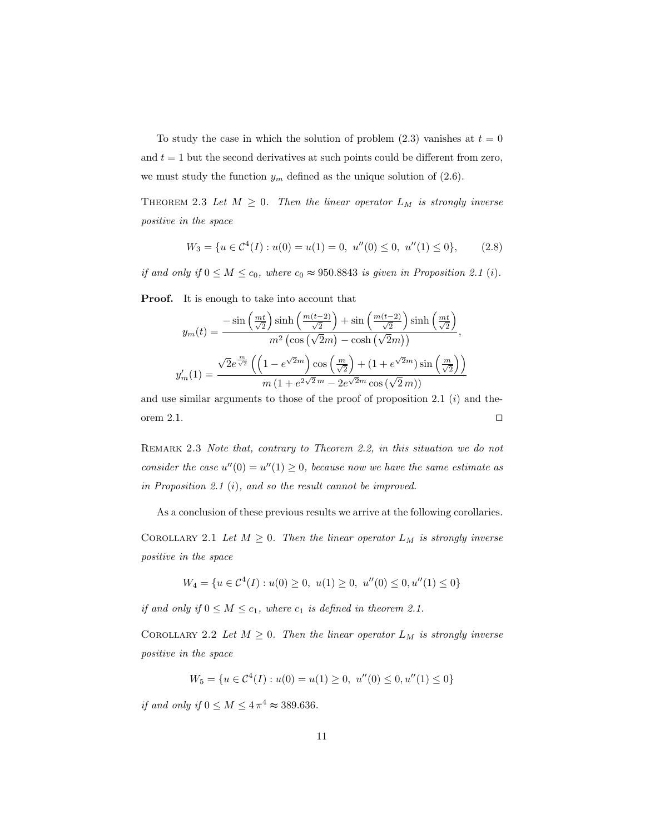To study the case in which the solution of problem  $(2.3)$  vanishes at  $t = 0$ and  $t = 1$  but the second derivatives at such points could be different from zero, we must study the function  $y_m$  defined as the unique solution of (2.6).

THEOREM 2.3 Let  $M \geq 0$ . Then the linear operator  $L_M$  is strongly inverse positive in the space

$$
W_3 = \{ u \in \mathcal{C}^4(I) : u(0) = u(1) = 0, \ u''(0) \le 0, \ u''(1) \le 0 \}, \tag{2.8}
$$

if and only if  $0 \leq M \leq c_0$ , where  $c_0 \approx 950.8843$  is given in Proposition 2.1 (i).

Proof. It is enough to take into account that

$$
y_m(t) = \frac{-\sin\left(\frac{mt}{\sqrt{2}}\right)\sinh\left(\frac{m(t-2)}{\sqrt{2}}\right) + \sin\left(\frac{m(t-2)}{\sqrt{2}}\right)\sinh\left(\frac{mt}{\sqrt{2}}\right)}{m^2\left(\cos\left(\sqrt{2}m\right) - \cosh\left(\sqrt{2}m\right)\right)},
$$

$$
y_m'(1) = \frac{\sqrt{2}e^{\frac{m}{\sqrt{2}}}\left(\left(1 - e^{\sqrt{2}m}\right)\cos\left(\frac{m}{\sqrt{2}}\right) + \left(1 + e^{\sqrt{2}m}\right)\sin\left(\frac{m}{\sqrt{2}}\right)\right)}{m\left(1 + e^{2\sqrt{2}m} - 2e^{\sqrt{2}m}\cos\left(\sqrt{2}m\right)\right)}
$$

and use similar arguments to those of the proof of proposition 2.1  $(i)$  and theorem 2.1.  $\Box$ 

REMARK 2.3 Note that, contrary to Theorem 2.2, in this situation we do not consider the case  $u''(0) = u''(1) \geq 0$ , because now we have the same estimate as in Proposition 2.1 (i), and so the result cannot be improved.

As a conclusion of these previous results we arrive at the following corollaries.

COROLLARY 2.1 Let  $M \geq 0$ . Then the linear operator  $L_M$  is strongly inverse positive in the space

$$
W_4 = \{ u \in C^4(I) : u(0) \ge 0, \ u(1) \ge 0, \ u''(0) \le 0, u''(1) \le 0 \}
$$

if and only if  $0 \leq M \leq c_1$ , where  $c_1$  is defined in theorem 2.1.

COROLLARY 2.2 Let  $M \geq 0$ . Then the linear operator  $L_M$  is strongly inverse positive in the space

$$
W_5 = \{ u \in C^4(I) : u(0) = u(1) \ge 0, \ u''(0) \le 0, u''(1) \le 0 \}
$$

if and only if  $0 \leq M \leq 4\pi^4 \approx 389.636$ .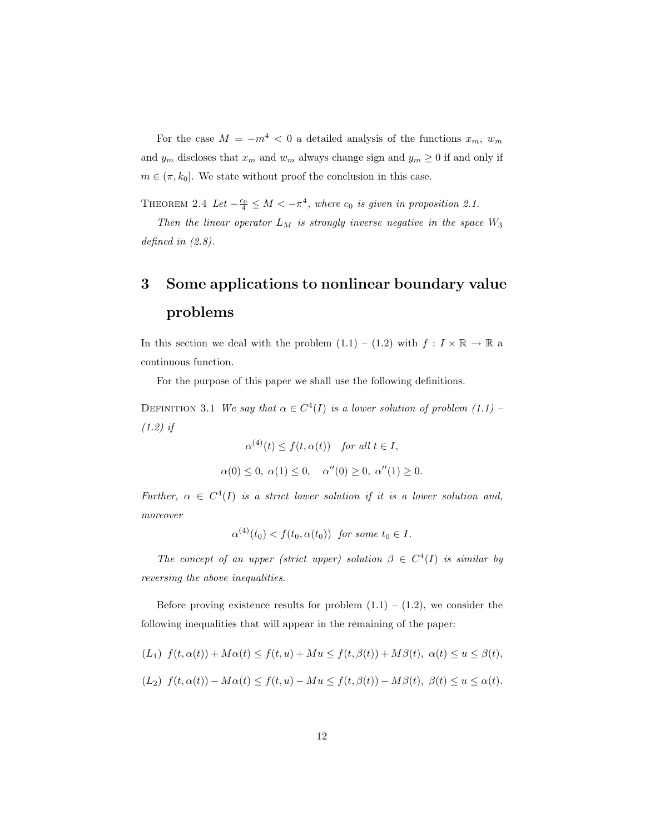For the case  $M = -m^4 < 0$  a detailed analysis of the functions  $x_m$ ,  $w_m$ and  $y_m$  discloses that  $x_m$  and  $w_m$  always change sign and  $y_m \geq 0$  if and only if  $m \in (\pi, k_0]$ . We state without proof the conclusion in this case.

THEOREM 2.4 Let  $-\frac{c_0}{4} \leq M < -\pi^4$ , where  $c_0$  is given in proposition 2.1.

Then the linear operator  $L_M$  is strongly inverse negative in the space  $W_3$ defined in  $(2.8)$ .

## 3 Some applications to nonlinear boundary value problems

In this section we deal with the problem  $(1.1) - (1.2)$  with  $f: I \times \mathbb{R} \to \mathbb{R}$  a continuous function.

For the purpose of this paper we shall use the following definitions.

DEFINITION 3.1 We say that  $\alpha \in C^4(I)$  is a lower solution of problem (1.1) – (1.2) if

$$
\alpha^{(4)}(t) \le f(t, \alpha(t)) \quad \text{for all } t \in I,
$$
  

$$
\alpha(0) \le 0, \ \alpha(1) \le 0, \quad \alpha''(0) \ge 0, \ \alpha''(1) \ge 0.
$$

Further,  $\alpha \in C^4(I)$  is a strict lower solution if it is a lower solution and, moreover

$$
\alpha^{(4)}(t_0) < f(t_0, \alpha(t_0)) \quad \text{for some } t_0 \in I.
$$

The concept of an upper (strict upper) solution  $\beta \in C^4(I)$  is similar by reversing the above inequalities.

Before proving existence results for problem  $(1.1) - (1.2)$ , we consider the following inequalities that will appear in the remaining of the paper:

$$
(L_1) f(t, \alpha(t)) + M\alpha(t) \le f(t, u) + Mu \le f(t, \beta(t)) + M\beta(t), \ \alpha(t) \le u \le \beta(t),
$$

$$
(L_2) f(t, \alpha(t)) - M\alpha(t) \le f(t, u) - Mu \le f(t, \beta(t)) - M\beta(t), \ \beta(t) \le u \le \alpha(t).
$$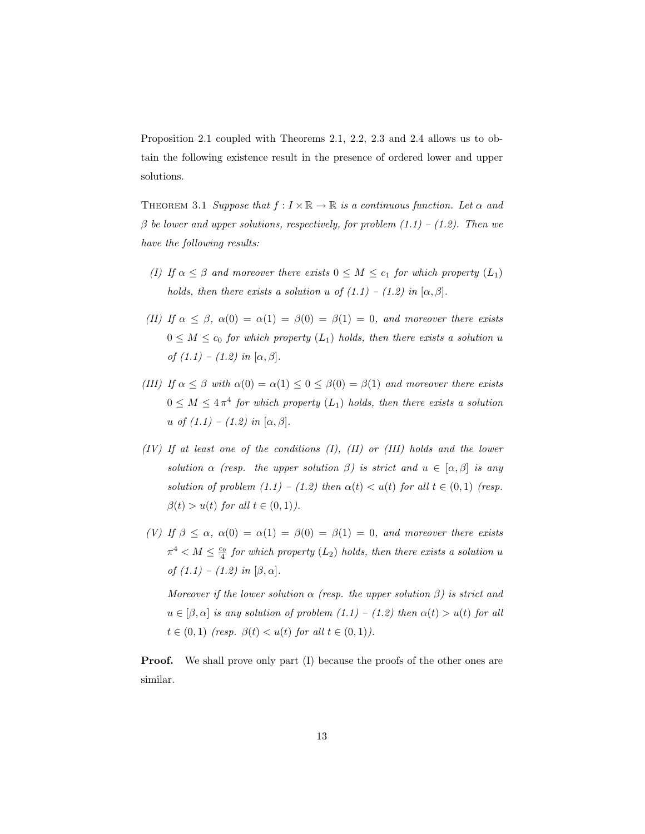Proposition 2.1 coupled with Theorems 2.1, 2.2, 2.3 and 2.4 allows us to obtain the following existence result in the presence of ordered lower and upper solutions.

THEOREM 3.1 Suppose that  $f: I \times \mathbb{R} \to \mathbb{R}$  is a continuous function. Let  $\alpha$  and  $\beta$  be lower and upper solutions, respectively, for problem  $(1.1) - (1.2)$ . Then we have the following results:

- (I) If  $\alpha \leq \beta$  and moreover there exists  $0 \leq M \leq c_1$  for which property  $(L_1)$ holds, then there exists a solution u of  $(1.1) - (1.2)$  in  $[\alpha, \beta]$ .
- (II) If  $\alpha \leq \beta$ ,  $\alpha(0) = \alpha(1) = \beta(0) = \beta(1) = 0$ , and moreover there exists  $0 \leq M \leq c_0$  for which property  $(L_1)$  holds, then there exists a solution u of  $(1.1) - (1.2)$  in  $[\alpha, \beta]$ .
- (III) If  $\alpha \leq \beta$  with  $\alpha(0) = \alpha(1) \leq 0 \leq \beta(0) = \beta(1)$  and moreover there exists  $0 \leq M \leq 4\pi^4$  for which property  $(L_1)$  holds, then there exists a solution u of  $(1.1) - (1.2)$  in  $[\alpha, \beta]$ .
- $(IV)$  If at least one of the conditions  $(II)$ ,  $(II)$  or  $(III)$  holds and the lower solution  $\alpha$  (resp. the upper solution  $\beta$ ) is strict and  $u \in [\alpha, \beta]$  is any solution of problem  $(1.1) - (1.2)$  then  $\alpha(t) < u(t)$  for all  $t \in (0,1)$  (resp.  $\beta(t) > u(t)$  for all  $t \in (0,1)$ ).
- (V) If  $\beta \leq \alpha$ ,  $\alpha(0) = \alpha(1) = \beta(0) = \beta(1) = 0$ , and moreover there exists  $\pi^4 < M \leq \frac{c_0}{4}$  for which property  $(L_2)$  holds, then there exists a solution u of  $(1.1) - (1.2)$  in  $[\beta, \alpha]$ .

Moreover if the lower solution  $\alpha$  (resp. the upper solution  $\beta$ ) is strict and  $u \in [\beta, \alpha]$  is any solution of problem  $(1.1) - (1.2)$  then  $\alpha(t) > u(t)$  for all  $t \in (0,1)$  (resp.  $\beta(t) < u(t)$  for all  $t \in (0,1)$ ).

**Proof.** We shall prove only part (I) because the proofs of the other ones are similar.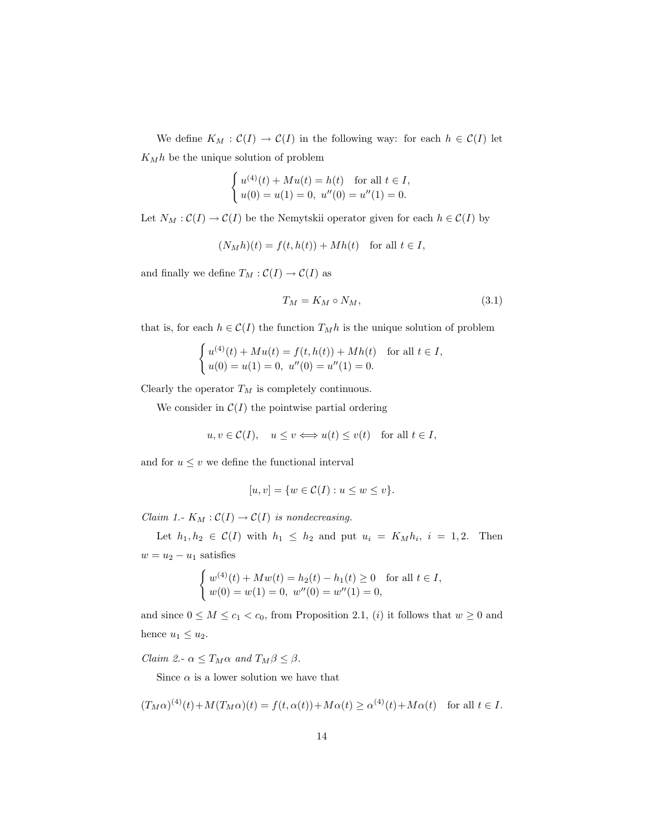We define  $K_M : \mathcal{C}(I) \to \mathcal{C}(I)$  in the following way: for each  $h \in \mathcal{C}(I)$  let  $K_Mh$  be the unique solution of problem

$$
\begin{cases} u^{(4)}(t) + Mu(t) = h(t) \quad \text{for all } t \in I, \\ u(0) = u(1) = 0, \ u''(0) = u''(1) = 0. \end{cases}
$$

Let  $N_M : \mathcal{C}(I) \to \mathcal{C}(I)$  be the Nemytskii operator given for each  $h \in \mathcal{C}(I)$  by

$$
(N_M h)(t) = f(t, h(t)) + Mh(t) \quad \text{for all } t \in I,
$$

and finally we define  $T_M : \mathcal{C}(I) \to \mathcal{C}(I)$  as

$$
T_M = K_M \circ N_M,\tag{3.1}
$$

that is, for each  $h \in \mathcal{C}(I)$  the function  $T_M h$  is the unique solution of problem

$$
\begin{cases} u^{(4)}(t) + Mu(t) = f(t, h(t)) + Mh(t) & \text{for all } t \in I, \\ u(0) = u(1) = 0, u''(0) = u''(1) = 0. \end{cases}
$$

Clearly the operator  $T_M$  is completely continuous.

We consider in  $C(I)$  the pointwise partial ordering

$$
u, v \in \mathcal{C}(I)
$$
,  $u \le v \Longleftrightarrow u(t) \le v(t)$  for all  $t \in I$ ,

and for  $u\leq v$  we define the functional interval

$$
[u, v] = \{w \in \mathcal{C}(I) : u \le w \le v\}.
$$

Claim 1.-  $K_M : \mathcal{C}(I) \to \mathcal{C}(I)$  is nondecreasing.

Let  $h_1, h_2 \in \mathcal{C}(I)$  with  $h_1 \leq h_2$  and put  $u_i = K_M h_i$ ,  $i = 1, 2$ . Then  $w = u_2 - u_1$  satisfies

$$
\begin{cases} w^{(4)}(t) + Mw(t) = h_2(t) - h_1(t) \ge 0 \quad \text{for all } t \in I, \\ w(0) = w(1) = 0, \ w''(0) = w''(1) = 0, \end{cases}
$$

and since  $0 \leq M \leq c_1 < c_0$ , from Proposition 2.1, (i) it follows that  $w \geq 0$  and hence  $u_1 \leq u_2$ .

Claim 2.-  $\alpha \leq T_M \alpha$  and  $T_M \beta \leq \beta$ .

Since  $\alpha$  is a lower solution we have that

$$
(T_M\alpha)^{(4)}(t) + M(T_M\alpha)(t) = f(t, \alpha(t)) + M\alpha(t) \ge \alpha^{(4)}(t) + M\alpha(t) \quad \text{for all } t \in I.
$$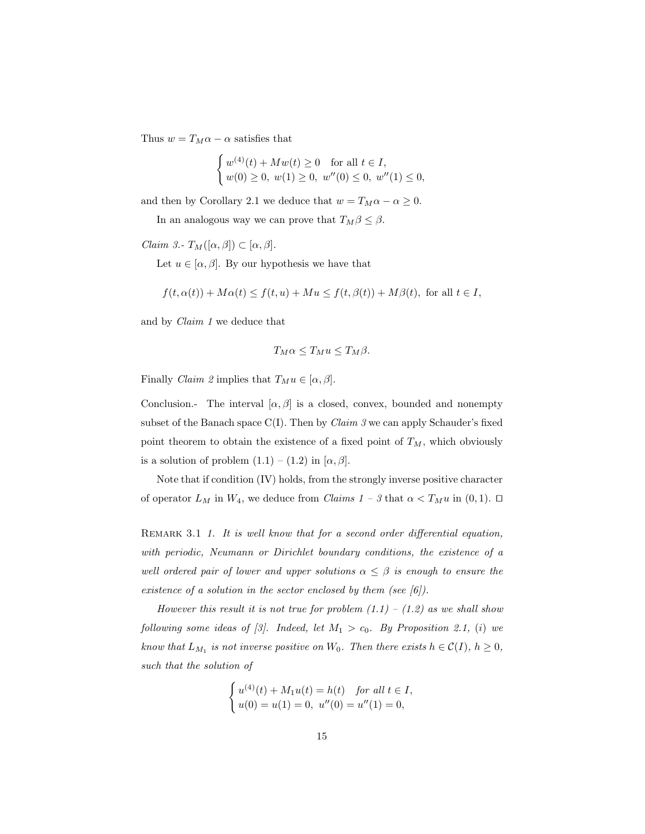Thus  $w = T_M \alpha - \alpha$  satisfies that

$$
\begin{cases} w^{(4)}(t) + Mw(t) \ge 0 & \text{for all } t \in I, \\ w(0) \ge 0, \ w(1) \ge 0, \ w''(0) \le 0, \ w''(1) \le 0, \end{cases}
$$

and then by Corollary 2.1 we deduce that  $w = T_M \alpha - \alpha \ge 0$ .

In an analogous way we can prove that  $T_M\beta \leq \beta$ .

*Claim 3.*-  $T_M([\alpha, \beta]) \subset [\alpha, \beta]$ .

Let  $u \in [\alpha, \beta]$ . By our hypothesis we have that

$$
f(t, \alpha(t)) + M\alpha(t) \le f(t, u) + M u \le f(t, \beta(t)) + M\beta(t)
$$
, for all  $t \in I$ ,

and by Claim 1 we deduce that

$$
T_M\alpha \le T_M u \le T_M\beta.
$$

Finally *Claim 2* implies that  $T_M u \in [\alpha, \beta]$ .

Conclusion.- The interval  $[\alpha, \beta]$  is a closed, convex, bounded and nonempty subset of the Banach space  $C(I)$ . Then by *Claim 3* we can apply Schauder's fixed point theorem to obtain the existence of a fixed point of  $T_M$ , which obviously is a solution of problem  $(1.1) - (1.2)$  in  $[\alpha, \beta]$ .

Note that if condition (IV) holds, from the strongly inverse positive character of operator  $L_M$  in  $W_4$ , we deduce from *Claims*  $1 - 3$  that  $\alpha < T_M u$  in  $(0, 1)$ .  $\Box$ 

REMARK 3.1 1. It is well know that for a second order differential equation, with periodic, Neumann or Dirichlet boundary conditions, the existence of a well ordered pair of lower and upper solutions  $\alpha \leq \beta$  is enough to ensure the existence of a solution in the sector enclosed by them (see  $[6]$ ).

However this result it is not true for problem  $(1.1) - (1.2)$  as we shall show following some ideas of [3]. Indeed, let  $M_1 > c_0$ . By Proposition 2.1, (i) we know that  $L_{M_1}$  is not inverse positive on  $W_0$ . Then there exists  $h \in \mathcal{C}(I)$ ,  $h \geq 0$ , such that the solution of

$$
\begin{cases} u^{(4)}(t) + M_1 u(t) = h(t) \quad \text{for all } t \in I, \\ u(0) = u(1) = 0, \ u''(0) = u''(1) = 0, \end{cases}
$$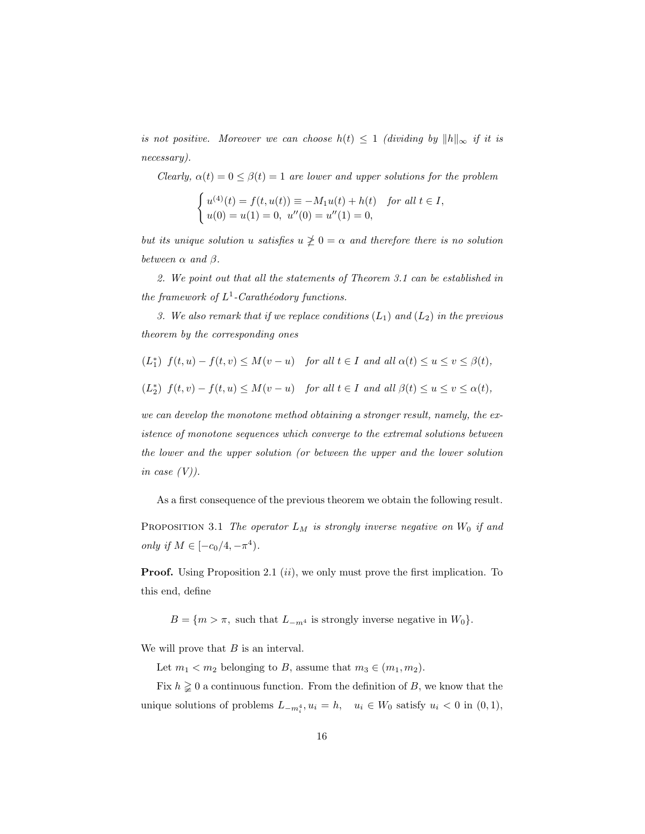is not positive. Moreover we can choose  $h(t) \leq 1$  (dividing by  $||h||_{\infty}$  if it is necessary).

Clearly,  $\alpha(t) = 0 \leq \beta(t) = 1$  are lower and upper solutions for the problem

$$
\begin{cases} u^{(4)}(t) = f(t, u(t)) \equiv -M_1 u(t) + h(t) \quad \text{for all } t \in I, \\ u(0) = u(1) = 0, \ u''(0) = u''(1) = 0, \end{cases}
$$

but its unique solution u satisfies  $u \ngeq 0 = \alpha$  and therefore there is no solution between  $\alpha$  and  $\beta$ .

2. We point out that all the statements of Theorem 3.1 can be established in the framework of  $L^1$ -Carathéodory functions.

3. We also remark that if we replace conditions  $(L_1)$  and  $(L_2)$  in the previous theorem by the corresponding ones

$$
(L_1^*)\ f(t,u) - f(t,v) \le M(v-u) \quad \text{for all } t \in I \text{ and all } \alpha(t) \le u \le v \le \beta(t),
$$
  

$$
(L_2^*)\ f(t,v) - f(t,u) \le M(v-u) \quad \text{for all } t \in I \text{ and all } \beta(t) \le u \le v \le \alpha(t),
$$

we can develop the monotone method obtaining a stronger result, namely, the existence of monotone sequences which converge to the extremal solutions between the lower and the upper solution (or between the upper and the lower solution in case  $(V)$ ).

As a first consequence of the previous theorem we obtain the following result.

PROPOSITION 3.1 The operator  $L_M$  is strongly inverse negative on  $W_0$  if and only if  $M \in [-c_0/4, -\pi^4)$ .

**Proof.** Using Proposition 2.1  $(ii)$ , we only must prove the first implication. To this end, define

 $B = \{m > \pi, \text{ such that } L_{-m^4} \text{ is strongly inverse negative in } W_0\}.$ 

We will prove that  $B$  is an interval.

Let  $m_1 < m_2$  belonging to B, assume that  $m_3 \in (m_1, m_2)$ .

Fix  $h \geq 0$  a continuous function. From the definition of B, we know that the unique solutions of problems  $L_{-m_i^4}$ ,  $u_i = h$ ,  $u_i \in W_0$  satisfy  $u_i < 0$  in  $(0, 1)$ ,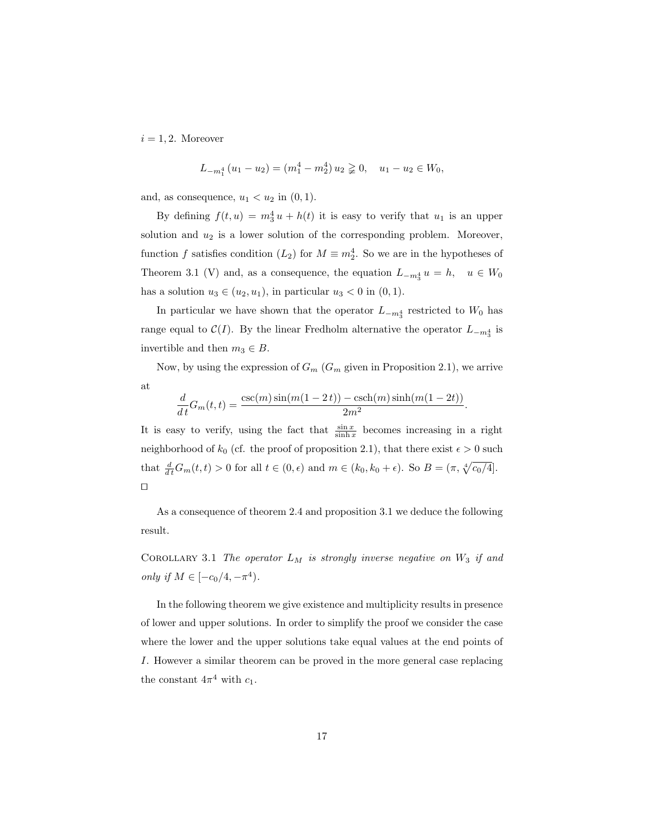$i = 1, 2$ . Moreover

$$
L_{-m_1^4}(u_1 - u_2) = (m_1^4 - m_2^4) u_2 \geq 0, \quad u_1 - u_2 \in W_0,
$$

and, as consequence,  $u_1 < u_2$  in  $(0, 1)$ .

By defining  $f(t, u) = m_3^4 u + h(t)$  it is easy to verify that  $u_1$  is an upper solution and  $u_2$  is a lower solution of the corresponding problem. Moreover, function f satisfies condition  $(L_2)$  for  $M \equiv m_2^4$ . So we are in the hypotheses of Theorem 3.1 (V) and, as a consequence, the equation  $L_{-m_3^4} u = h$ ,  $u \in W_0$ has a solution  $u_3 \in (u_2, u_1)$ , in particular  $u_3 < 0$  in  $(0, 1)$ .

In particular we have shown that the operator  $L_{-m_3^4}$  restricted to  $W_0$  has range equal to  $\mathcal{C}(I)$ . By the linear Fredholm alternative the operator  $L_{-m_3^4}$  is invertible and then  $m_3 \in B$ .

Now, by using the expression of  $G_m$  ( $G_m$  given in Proposition 2.1), we arrive at

$$
\frac{d}{dt}G_m(t,t) = \frac{\csc(m)\sin(m(1-2t)) - \csc(n)\sinh(m(1-2t))}{2m^2}.
$$

It is easy to verify, using the fact that  $\frac{\sin x}{\sinh x}$  becomes increasing in a right neighborhood of  $k_0$  (cf. the proof of proposition 2.1), that there exist  $\epsilon > 0$  such that  $\frac{d}{dt}G_m(t,t) > 0$  for all  $t \in (0,\epsilon)$  and  $m \in (k_0, k_0 + \epsilon)$ . So  $B = (\pi, \sqrt[4]{c_0/4}]$ .  $\Box$ 

As a consequence of theorem 2.4 and proposition 3.1 we deduce the following result.

COROLLARY 3.1 The operator  $L_M$  is strongly inverse negative on  $W_3$  if and only if  $M \in [-c_0/4, -\pi^4)$ .

In the following theorem we give existence and multiplicity results in presence of lower and upper solutions. In order to simplify the proof we consider the case where the lower and the upper solutions take equal values at the end points of I. However a similar theorem can be proved in the more general case replacing the constant  $4\pi^4$  with  $c_1$ .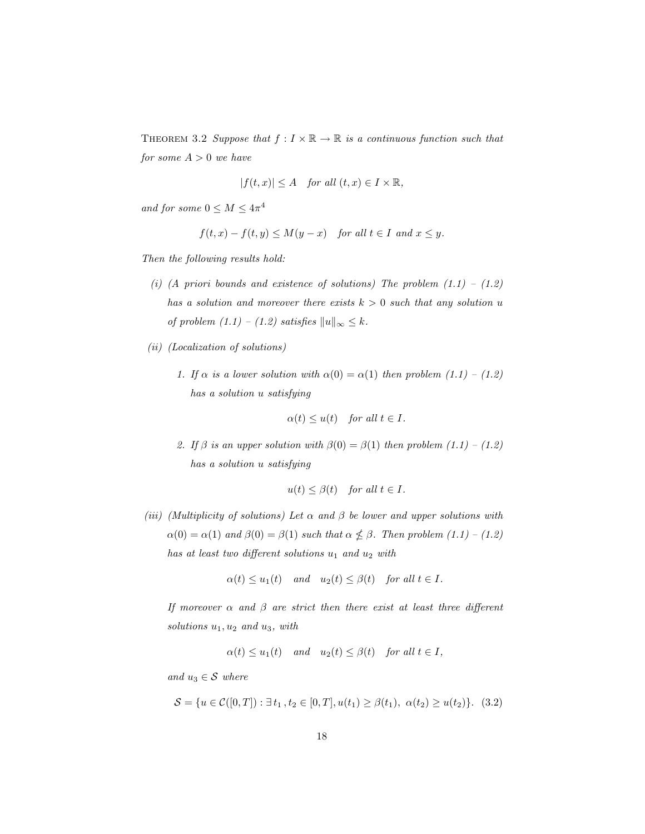THEOREM 3.2 Suppose that  $f: I \times \mathbb{R} \to \mathbb{R}$  is a continuous function such that for some  $A > 0$  we have

$$
|f(t,x)| \le A \quad for all (t,x) \in I \times \mathbb{R},
$$

and for some  $0 \leq M \leq 4\pi^4$ 

$$
f(t,x) - f(t,y) \le M(y-x) \quad for all  $t \in I$  *and*  $x \le y$ .
$$

Then the following results hold:

- (i) (A priori bounds and existence of solutions) The problem  $(1.1) (1.2)$ has a solution and moreover there exists  $k > 0$  such that any solution u of problem  $(1.1) - (1.2)$  satisfies  $||u||_{\infty} \leq k$ .
- (ii) (Localization of solutions)
	- 1. If  $\alpha$  is a lower solution with  $\alpha(0) = \alpha(1)$  then problem  $(1.1) (1.2)$ has a solution u satisfying

$$
\alpha(t) \le u(t) \quad \text{for all } t \in I.
$$

2. If  $\beta$  is an upper solution with  $\beta(0) = \beta(1)$  then problem  $(1.1) - (1.2)$ has a solution u satisfying

$$
u(t) \le \beta(t) \quad \text{for all } t \in I.
$$

(iii) (Multiplicity of solutions) Let  $\alpha$  and  $\beta$  be lower and upper solutions with  $\alpha(0) = \alpha(1)$  and  $\beta(0) = \beta(1)$  such that  $\alpha \nleq \beta$ . Then problem  $(1.1) - (1.2)$ has at least two different solutions  $u_1$  and  $u_2$  with

$$
\alpha(t) \le u_1(t) \quad and \quad u_2(t) \le \beta(t) \quad \text{for all } t \in I.
$$

If moreover  $\alpha$  and  $\beta$  are strict then there exist at least three different solutions  $u_1, u_2$  and  $u_3$ , with

$$
\alpha(t) \le u_1(t)
$$
 and  $u_2(t) \le \beta(t)$  for all  $t \in I$ ,

and  $u_3 \in \mathcal{S}$  where

 $\mathcal{S} = \{u \in \mathcal{C}([0,T]) : \exists t_1, t_2 \in [0,T], u(t_1) \geq \beta(t_1), \alpha(t_2) \geq u(t_2)\}.$  (3.2)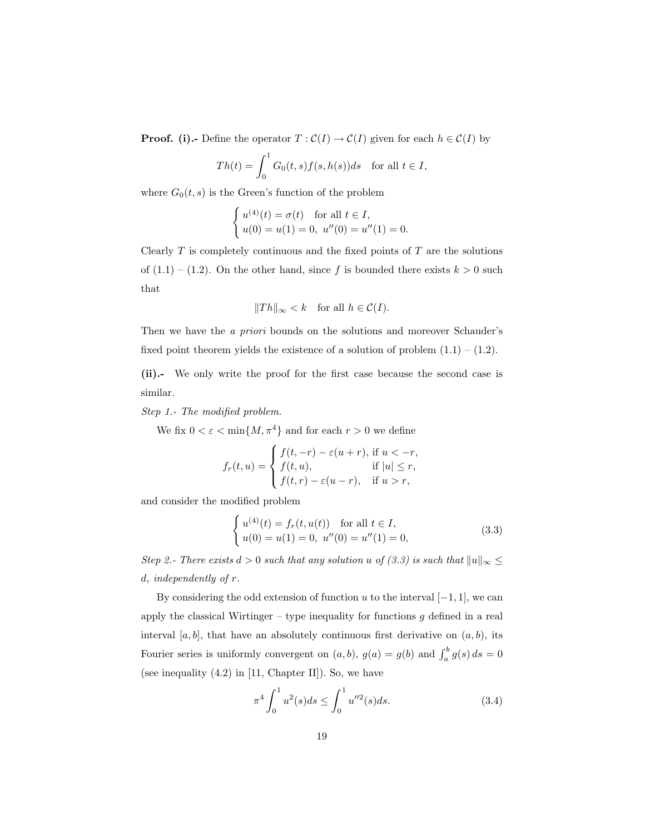**Proof.** (i).- Define the operator  $T : \mathcal{C}(I) \to \mathcal{C}(I)$  given for each  $h \in \mathcal{C}(I)$  by

$$
Th(t) = \int_0^1 G_0(t, s) f(s, h(s)) ds \text{ for all } t \in I,
$$

where  $G_0(t, s)$  is the Green's function of the problem

$$
\begin{cases} u^{(4)}(t) = \sigma(t) & \text{for all } t \in I, \\ u(0) = u(1) = 0, u''(0) = u''(1) = 0. \end{cases}
$$

Clearly  $T$  is completely continuous and the fixed points of  $T$  are the solutions of  $(1.1) - (1.2)$ . On the other hand, since f is bounded there exists  $k > 0$  such that

$$
||Th||_{\infty} < k
$$
 for all  $h \in C(I)$ .

Then we have the a priori bounds on the solutions and moreover Schauder's fixed point theorem yields the existence of a solution of problem  $(1.1) - (1.2)$ .

(ii).- We only write the proof for the first case because the second case is similar.

Step 1.- The modified problem.

We fix  $0 < \varepsilon < \min\{M, \pi^4\}$  and for each  $r > 0$  we define

$$
f_r(t, u) = \begin{cases} f(t, -r) - \varepsilon(u+r), \text{ if } u < -r, \\ f(t, u), & \text{ if } |u| \le r, \\ f(t, r) - \varepsilon(u-r), & \text{ if } u > r, \end{cases}
$$

and consider the modified problem

$$
\begin{cases}\nu^{(4)}(t) = f_r(t, u(t)) & \text{for all } t \in I, \\
u(0) = u(1) = 0, \ u''(0) = u''(1) = 0,\n\end{cases}
$$
\n(3.3)

Step 2.- There exists  $d > 0$  such that any solution u of  $(3.3)$  is such that  $||u||_{\infty} \le$ d, independently of r.

By considering the odd extension of function u to the interval  $[-1, 1]$ , we can apply the classical Wirtinger – type inequality for functions  $g$  defined in a real interval [a, b], that have an absolutely continuous first derivative on  $(a, b)$ , its Fourier series is uniformly convergent on  $(a, b)$ ,  $g(a) = g(b)$  and  $\int_a^b g(s) ds = 0$ (see inequality  $(4.2)$  in  $[11,$  Chapter II]). So, we have

$$
\pi^4 \int_0^1 u^2(s)ds \le \int_0^1 u''^2(s)ds. \tag{3.4}
$$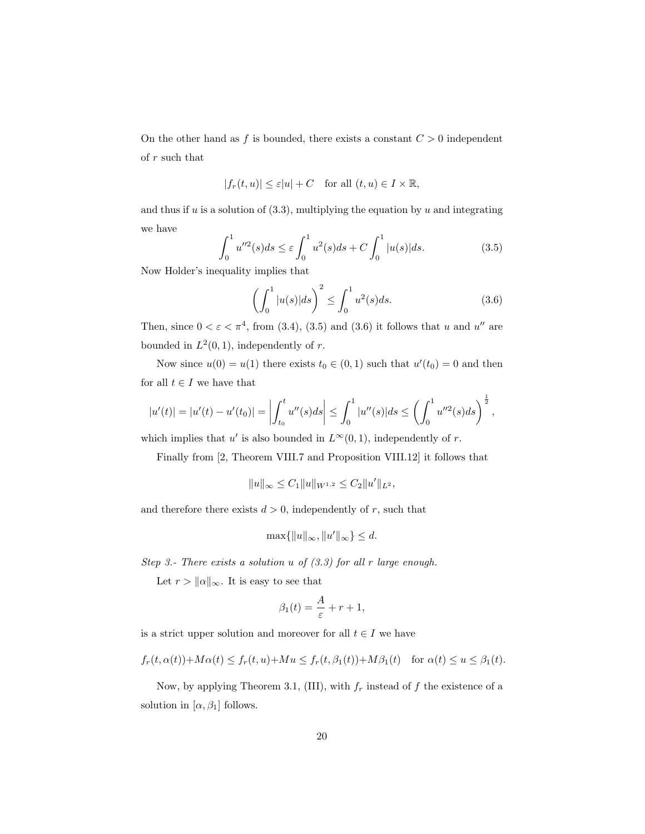On the other hand as f is bounded, there exists a constant  $C > 0$  independent of r such that

$$
|f_r(t, u)| \le \varepsilon |u| + C \quad \text{for all } (t, u) \in I \times \mathbb{R},
$$

and thus if  $u$  is a solution of  $(3.3)$ , multiplying the equation by  $u$  and integrating we have

$$
\int_0^1 u''^2(s)ds \le \varepsilon \int_0^1 u^2(s)ds + C \int_0^1 |u(s)|ds.
$$
 (3.5)

Now Holder's inequality implies that

$$
\left(\int_0^1 |u(s)|ds\right)^2 \le \int_0^1 u^2(s)ds.
$$
\n(3.6)

Then, since  $0 < \varepsilon < \pi^4$ , from (3.4), (3.5) and (3.6) it follows that u and u'' are bounded in  $L^2(0,1)$ , independently of r.

Now since  $u(0) = u(1)$  there exists  $t_0 \in (0, 1)$  such that  $u'(t_0) = 0$  and then for all  $t \in I$  we have that

$$
|u'(t)| = |u'(t) - u'(t_0)| = \left| \int_{t_0}^t u''(s) ds \right| \leq \int_0^1 |u''(s)| ds \leq \left( \int_0^1 u''^2(s) ds \right)^{\frac{1}{2}},
$$

which implies that u' is also bounded in  $L^{\infty}(0, 1)$ , independently of r.

Finally from [2, Theorem VIII.7 and Proposition VIII.12] it follows that

$$
||u||_{\infty} \leq C_1 ||u||_{W^{1,2}} \leq C_2 ||u'||_{L^2},
$$

and therefore there exists  $d > 0$ , independently of r, such that

$$
\max\{\|u\|_{\infty}, \|u'\|_{\infty}\} \le d.
$$

Step 3.- There exists a solution  $u$  of  $(3.3)$  for all r large enough.

Let  $r > ||\alpha||_{\infty}$ . It is easy to see that

$$
\beta_1(t) = \frac{A}{\varepsilon} + r + 1,
$$

is a strict upper solution and moreover for all  $t \in I$  we have

$$
f_r(t, \alpha(t)) + M\alpha(t) \le f_r(t, u) + M u \le f_r(t, \beta_1(t)) + M\beta_1(t) \quad \text{for } \alpha(t) \le u \le \beta_1(t).
$$

Now, by applying Theorem 3.1, (III), with  $f_r$  instead of f the existence of a solution in  $[\alpha, \beta_1]$  follows.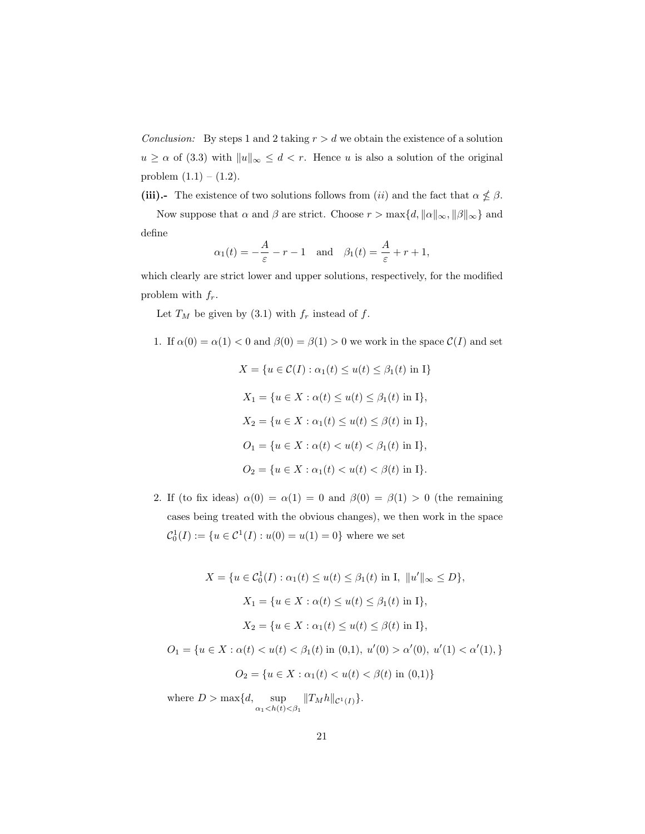Conclusion: By steps 1 and 2 taking  $r > d$  we obtain the existence of a solution  $u \geq \alpha$  of (3.3) with  $||u||_{\infty} \leq d < r$ . Hence u is also a solution of the original problem  $(1.1) - (1.2)$ .

(iii).- The existence of two solutions follows from (ii) and the fact that  $\alpha \nleq \beta$ .

Now suppose that  $\alpha$  and  $\beta$  are strict. Choose  $r > \max\{d, ||\alpha||_{\infty}, ||\beta||_{\infty}\}\$ and define

$$
\alpha_1(t) = -\frac{A}{\varepsilon} - r - 1
$$
 and  $\beta_1(t) = \frac{A}{\varepsilon} + r + 1$ ,

which clearly are strict lower and upper solutions, respectively, for the modified problem with  $f_r$ .

Let  $T_M$  be given by (3.1) with  $f_r$  instead of f.

1. If 
$$
\alpha(0) = \alpha(1) < 0
$$
 and  $\beta(0) = \beta(1) > 0$  we work in the space  $\mathcal{C}(I)$  and set

$$
X = \{u \in C(I) : \alpha_1(t) \le u(t) \le \beta_1(t) \text{ in } I\}
$$
  
\n
$$
X_1 = \{u \in X : \alpha(t) \le u(t) \le \beta_1(t) \text{ in } I\},
$$
  
\n
$$
X_2 = \{u \in X : \alpha_1(t) \le u(t) \le \beta(t) \text{ in } I\},
$$
  
\n
$$
O_1 = \{u \in X : \alpha(t) < u(t) < \beta_1(t) \text{ in } I\},
$$
  
\n
$$
O_2 = \{u \in X : \alpha_1(t) < u(t) < \beta(t) \text{ in } I\}.
$$

2. If (to fix ideas)  $\alpha(0) = \alpha(1) = 0$  and  $\beta(0) = \beta(1) > 0$  (the remaining cases being treated with the obvious changes), we then work in the space  $C_0^1(I) := \{u \in C^1(I) : u(0) = u(1) = 0\}$  where we set

$$
X = \{u \in C_0^1(I) : \alpha_1(t) \le u(t) \le \beta_1(t) \text{ in } I, ||u'||_{\infty} \le D\},\
$$
  

$$
X_1 = \{u \in X : \alpha(t) \le u(t) \le \beta_1(t) \text{ in } I\},\
$$
  

$$
X_2 = \{u \in X : \alpha_1(t) \le u(t) \le \beta(t) \text{ in } I\},\
$$
  

$$
O_1 = \{u \in X : \alpha(t) < u(t) < \beta_1(t) \text{ in } (0,1), u'(0) > \alpha'(0), u'(1) < \alpha'(1),\}
$$
  

$$
O_2 = \{u \in X : \alpha_1(t) < u(t) < \beta(t) \text{ in } (0,1)\}
$$

where  $D > \max\{d, \text{ sup}$  $\sup_{\alpha_1 < h(t) < \beta_1} ||T_M h||_{\mathcal{C}^1(I)} \}.$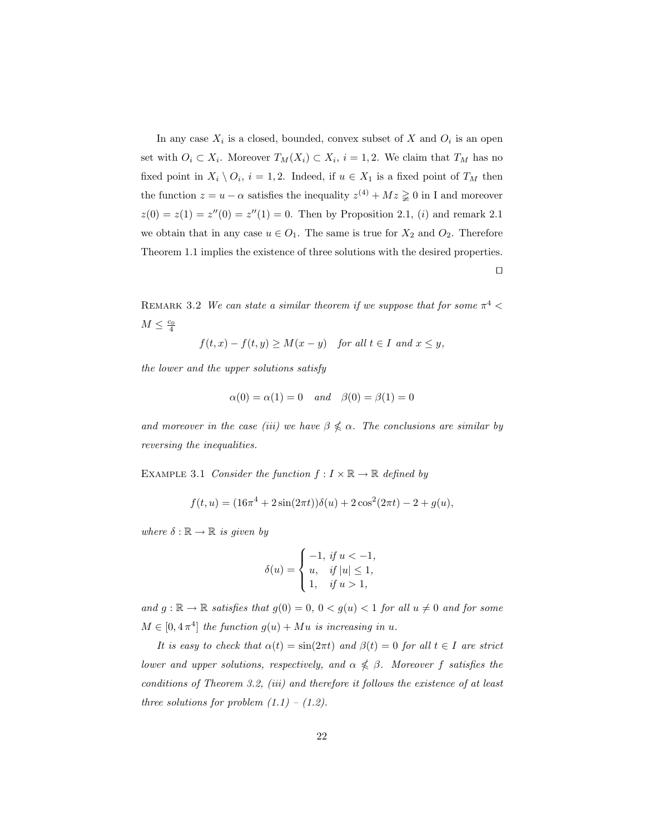In any case  $X_i$  is a closed, bounded, convex subset of X and  $O_i$  is an open set with  $O_i \subset X_i$ . Moreover  $T_M(X_i) \subset X_i$ ,  $i = 1, 2$ . We claim that  $T_M$  has no fixed point in  $X_i \setminus O_i$ ,  $i = 1, 2$ . Indeed, if  $u \in X_1$  is a fixed point of  $T_M$  then the function  $z = u - \alpha$  satisfies the inequality  $z^{(4)} + Mz \geq 0$  in I and moreover  $z(0) = z(1) = z''(0) = z''(1) = 0$ . Then by Proposition 2.1, (i) and remark 2.1 we obtain that in any case  $u \in O_1$ . The same is true for  $X_2$  and  $O_2$ . Therefore Theorem 1.1 implies the existence of three solutions with the desired properties.  $\Box$ 

REMARK 3.2 We can state a similar theorem if we suppose that for some  $\pi^4$  <  $M \leq \frac{c_0}{4}$ 

$$
f(t,x)-f(t,y)\geq M(x-y)\quad \textit{for all }t\in I\,\textit{ and }x\leq y,
$$

the lower and the upper solutions satisfy

$$
\alpha(0) = \alpha(1) = 0 \quad and \quad \beta(0) = \beta(1) = 0
$$

and moreover in the case (iii) we have  $\beta \nleq \alpha$ . The conclusions are similar by reversing the inequalities.

EXAMPLE 3.1 Consider the function  $f: I \times \mathbb{R} \to \mathbb{R}$  defined by

$$
f(t, u) = (16\pi^4 + 2\sin(2\pi t))\delta(u) + 2\cos^2(2\pi t) - 2 + g(u),
$$

where  $\delta : \mathbb{R} \to \mathbb{R}$  is given by

$$
\delta(u) = \begin{cases}\n-1, & \text{if } u < -1, \\
u, & \text{if } |u| \le 1, \\
1, & \text{if } u > 1,\n\end{cases}
$$

and  $g : \mathbb{R} \to \mathbb{R}$  satisfies that  $g(0) = 0, 0 < g(u) < 1$  for all  $u \neq 0$  and for some  $M \in [0, 4\pi^4]$  the function  $g(u) + Mu$  is increasing in u.

It is easy to check that  $\alpha(t) = \sin(2\pi t)$  and  $\beta(t) = 0$  for all  $t \in I$  are strict lower and upper solutions, respectively, and  $\alpha \nleq \beta$ . Moreover f satisfies the conditions of Theorem 3.2, (iii) and therefore it follows the existence of at least three solutions for problem  $(1.1) - (1.2)$ .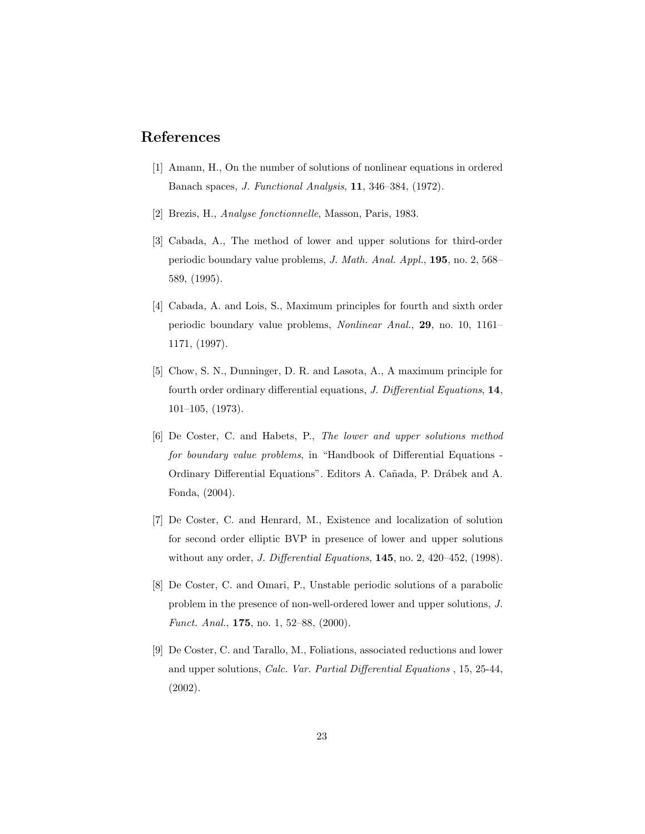#### References

- [1] Amann, H., On the number of solutions of nonlinear equations in ordered Banach spaces, J. Functional Analysis, 11, 346–384, (1972).
- [2] Brezis, H., Analyse fonctionnelle, Masson, Paris, 1983.
- [3] Cabada, A., The method of lower and upper solutions for third-order periodic boundary value problems, J. Math. Anal. Appl., 195, no. 2, 568– 589, (1995).
- [4] Cabada, A. and Lois, S., Maximum principles for fourth and sixth order periodic boundary value problems, Nonlinear Anal., 29, no. 10, 1161– 1171, (1997).
- [5] Chow, S. N., Dunninger, D. R. and Lasota, A., A maximum principle for fourth order ordinary differential equations, J. Differential Equations, 14, 101–105, (1973).
- [6] De Coster, C. and Habets, P., The lower and upper solutions method for boundary value problems, in "Handbook of Differential Equations - Ordinary Differential Equations". Editors A. Cañada, P. Drábek and A. Fonda, (2004).
- [7] De Coster, C. and Henrard, M., Existence and localization of solution for second order elliptic BVP in presence of lower and upper solutions without any order, *J. Differential Equations*, **145**, no. 2, 420–452, (1998).
- [8] De Coster, C. and Omari, P., Unstable periodic solutions of a parabolic problem in the presence of non-well-ordered lower and upper solutions, J. Funct. Anal., 175, no. 1, 52–88, (2000).
- [9] De Coster, C. and Tarallo, M., Foliations, associated reductions and lower and upper solutions, Calc. Var. Partial Differential Equations , 15, 25-44, (2002).